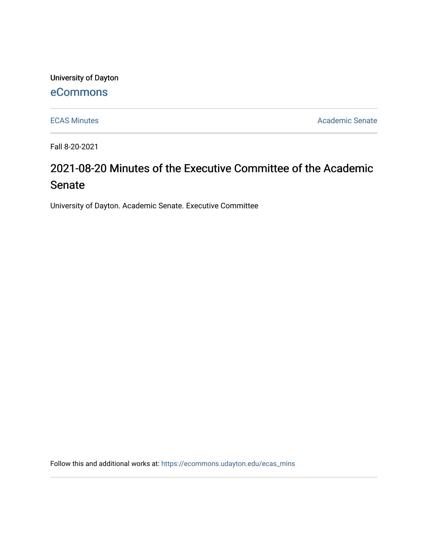University of Dayton

## [eCommons](https://ecommons.udayton.edu/)

[ECAS Minutes](https://ecommons.udayton.edu/ecas_mins) **Academic Senate** 

Fall 8-20-2021

# 2021-08-20 Minutes of the Executive Committee of the Academic Senate

University of Dayton. Academic Senate. Executive Committee

Follow this and additional works at: [https://ecommons.udayton.edu/ecas\\_mins](https://ecommons.udayton.edu/ecas_mins?utm_source=ecommons.udayton.edu%2Fecas_mins%2F542&utm_medium=PDF&utm_campaign=PDFCoverPages)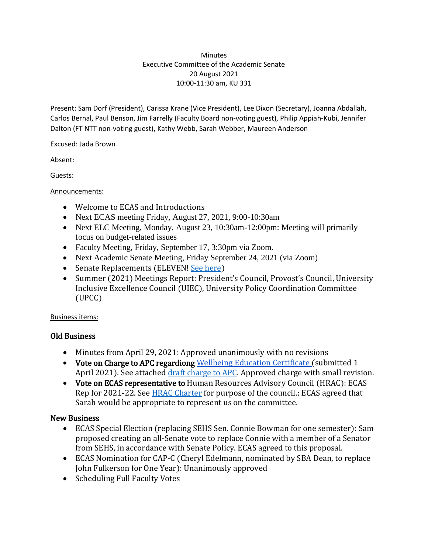#### **Minutes** Executive Committee of the Academic Senate 20 August 2021 10:00-11:30 am, KU 331

Present: Sam Dorf (President), Carissa Krane (Vice President), Lee Dixon (Secretary), Joanna Abdallah, Carlos Bernal, Paul Benson, Jim Farrelly (Faculty Board non-voting guest), Philip Appiah-Kubi, Jennifer Dalton (FT NTT non-voting guest), Kathy Webb, Sarah Webber, Maureen Anderson

Excused: Jada Brown

Absent:

Guests:

Announcements:

- Welcome to ECAS and Introductions
- Next ECAS meeting Friday, August 27, 2021, 9:00-10:30am
- Next ELC Meeting, Monday, August 23, 10:30am-12:00pm: Meeting will primarily focus on budget-related issues
- Faculty Meeting, Friday, September 17, 3:30pm via Zoom.
- Next Academic Senate Meeting, Friday September 24, 2021 (via Zoom)
- Senate Replacements (ELEVEN! [See here\)](https://docs.google.com/document/d/1dnxvLot9GVb1nuhrDLO5BN6MvcACGscO/edit?usp=sharing&ouid=114374222774523335638&rtpof=true&sd=true)
- Summer (2021) Meetings Report: President's Council, Provost's Council, University Inclusive Excellence Council (UIEC), University Policy Coordination Committee (UPCC)

Business items:

#### Old Business

- Minutes from April 29, 2021: Approved unanimously with no revisions
- Vote on Charge to APC regardiong [Wellbeing Education Certificate](https://drive.google.com/file/d/124t06x4LnVVWqW98gxfTZ6mvZpZn1oKP/view?usp=sharing) (submitted 1 April 2021). See attached [draft charge to APC.](https://docs.google.com/document/d/1MGVZJwfJLM5GpYcaLNFarRWftC195h8o31BugiUwb5Q/edit?usp=sharing) Approved charge with small revision.
- Vote on ECAS representative to Human Resources Advisory Council (HRAC): ECAS Rep for 2021-22. See **HRAC Charter** for purpose of the council.: ECAS agreed that Sarah would be appropriate to represent us on the committee.

#### New Business

- ECAS Special Election (replacing SEHS Sen. Connie Bowman for one semester): Sam proposed creating an all-Senate vote to replace Connie with a member of a Senator from SEHS, in accordance with Senate Policy. ECAS agreed to this proposal.
- ECAS Nomination for CAP-C (Cheryl Edelmann, nominated by SBA Dean, to replace John Fulkerson for One Year): Unanimously approved
- Scheduling Full Faculty Votes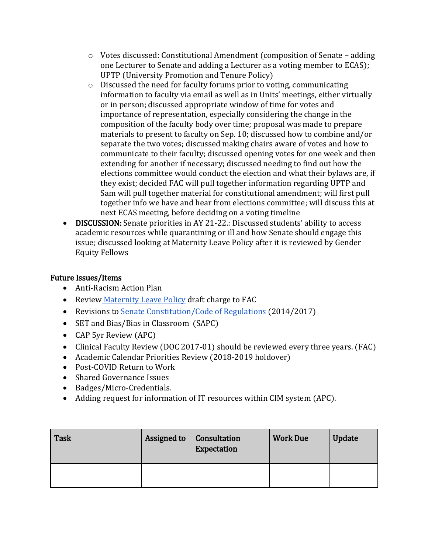- o Votes discussed: Constitutional Amendment (composition of Senate adding one Lecturer to Senate and adding a Lecturer as a voting member to ECAS); UPTP (University Promotion and Tenure Policy)
- o Discussed the need for faculty forums prior to voting, communicating information to faculty via email as well as in Units' meetings, either virtually or in person; discussed appropriate window of time for votes and importance of representation, especially considering the change in the composition of the faculty body over time; proposal was made to prepare materials to present to faculty on Sep. 10; discussed how to combine and/or separate the two votes; discussed making chairs aware of votes and how to communicate to their faculty; discussed opening votes for one week and then extending for another if necessary; discussed needing to find out how the elections committee would conduct the election and what their bylaws are, if they exist; decided FAC will pull together information regarding UPTP and Sam will pull together material for constitutional amendment; will first pull together info we have and hear from elections committee; will discuss this at next ECAS meeting, before deciding on a voting timeline
- DISCUSSION: Senate priorities in AY 21-22.: Discussed students' ability to access academic resources while quarantining or ill and how Senate should engage this issue; discussed looking at Maternity Leave Policy after it is reviewed by Gender Equity Fellows

### Future Issues/Items

- Anti-Racism Action Plan
- Review [Maternity Leave Policy](https://ecommons.udayton.edu/cgi/viewcontent.cgi?article=1038&context=senate_docs) draft charge to FAC
- Revisions to [Senate Constitution/Code of Regulations](https://drive.google.com/file/d/1FE4HIp5nKgfgFEpzkthtUeF-u_54WgeA/view?usp=sharing) (2014/2017)
- SET and Bias/Bias in Classroom (SAPC)
- CAP 5yr Review (APC)
- Clinical Faculty Review (DOC 2017-01) should be reviewed every three years. (FAC)
- Academic Calendar Priorities Review (2018-2019 holdover)
- Post-COVID Return to Work
- Shared Governance Issues
- Badges/Micro-Credentials.
- Adding request for information of IT resources within CIM system (APC).

| <b>Task</b> | <b>Assigned to</b> | Consultation<br>Expectation | <b>Work Due</b> | Update |
|-------------|--------------------|-----------------------------|-----------------|--------|
|             |                    |                             |                 |        |